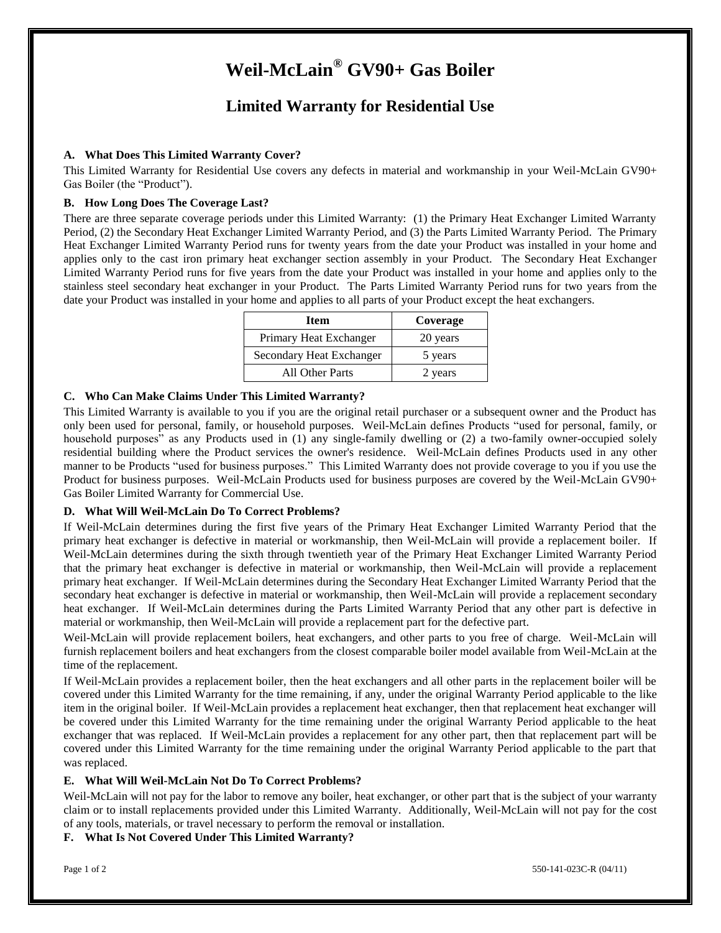# **Weil-McLain® GV90+ Gas Boiler**

## **Limited Warranty for Residential Use**

### **A. What Does This Limited Warranty Cover?**

This Limited Warranty for Residential Use covers any defects in material and workmanship in your Weil-McLain GV90+ Gas Boiler (the "Product").

### **B. How Long Does The Coverage Last?**

There are three separate coverage periods under this Limited Warranty: (1) the Primary Heat Exchanger Limited Warranty Period, (2) the Secondary Heat Exchanger Limited Warranty Period, and (3) the Parts Limited Warranty Period. The Primary Heat Exchanger Limited Warranty Period runs for twenty years from the date your Product was installed in your home and applies only to the cast iron primary heat exchanger section assembly in your Product. The Secondary Heat Exchanger Limited Warranty Period runs for five years from the date your Product was installed in your home and applies only to the stainless steel secondary heat exchanger in your Product. The Parts Limited Warranty Period runs for two years from the date your Product was installed in your home and applies to all parts of your Product except the heat exchangers.

| Item                     | Coverage |
|--------------------------|----------|
| Primary Heat Exchanger   | 20 years |
| Secondary Heat Exchanger | 5 years  |
| All Other Parts          | 2 years  |

#### **C. Who Can Make Claims Under This Limited Warranty?**

This Limited Warranty is available to you if you are the original retail purchaser or a subsequent owner and the Product has only been used for personal, family, or household purposes. Weil-McLain defines Products "used for personal, family, or household purposes" as any Products used in (1) any single-family dwelling or (2) a two-family owner-occupied solely residential building where the Product services the owner's residence. Weil-McLain defines Products used in any other manner to be Products "used for business purposes." This Limited Warranty does not provide coverage to you if you use the Product for business purposes. Weil-McLain Products used for business purposes are covered by the Weil-McLain GV90+ Gas Boiler Limited Warranty for Commercial Use.

#### **D. What Will Weil-McLain Do To Correct Problems?**

If Weil-McLain determines during the first five years of the Primary Heat Exchanger Limited Warranty Period that the primary heat exchanger is defective in material or workmanship, then Weil-McLain will provide a replacement boiler. If Weil-McLain determines during the sixth through twentieth year of the Primary Heat Exchanger Limited Warranty Period that the primary heat exchanger is defective in material or workmanship, then Weil-McLain will provide a replacement primary heat exchanger. If Weil-McLain determines during the Secondary Heat Exchanger Limited Warranty Period that the secondary heat exchanger is defective in material or workmanship, then Weil-McLain will provide a replacement secondary heat exchanger. If Weil-McLain determines during the Parts Limited Warranty Period that any other part is defective in material or workmanship, then Weil-McLain will provide a replacement part for the defective part.

Weil-McLain will provide replacement boilers, heat exchangers, and other parts to you free of charge. Weil-McLain will furnish replacement boilers and heat exchangers from the closest comparable boiler model available from Weil-McLain at the time of the replacement.

If Weil-McLain provides a replacement boiler, then the heat exchangers and all other parts in the replacement boiler will be covered under this Limited Warranty for the time remaining, if any, under the original Warranty Period applicable to the like item in the original boiler. If Weil-McLain provides a replacement heat exchanger, then that replacement heat exchanger will be covered under this Limited Warranty for the time remaining under the original Warranty Period applicable to the heat exchanger that was replaced. If Weil-McLain provides a replacement for any other part, then that replacement part will be covered under this Limited Warranty for the time remaining under the original Warranty Period applicable to the part that was replaced.

#### **E. What Will Weil-McLain Not Do To Correct Problems?**

Weil-McLain will not pay for the labor to remove any boiler, heat exchanger, or other part that is the subject of your warranty claim or to install replacements provided under this Limited Warranty. Additionally, Weil-McLain will not pay for the cost of any tools, materials, or travel necessary to perform the removal or installation.

#### **F. What Is Not Covered Under This Limited Warranty?**